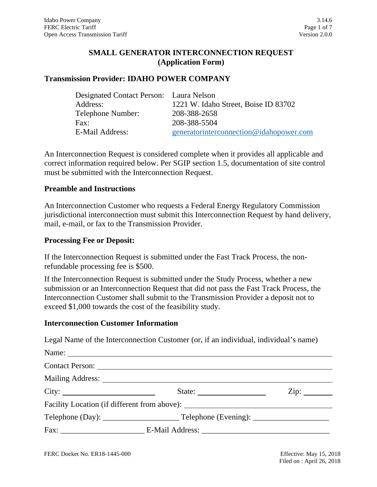# **SMALL GENERATOR INTERCONNECTION REQUEST (Application Form)**

### **Transmission Provider: IDAHO POWER COMPANY**

| Designated Contact Person: Laura Nelson |                                         |
|-----------------------------------------|-----------------------------------------|
| Address:                                | 1221 W. Idaho Street, Boise ID 83702    |
| Telephone Number:                       | 208-388-2658                            |
| Fax:                                    | 208-388-5504                            |
| E-Mail Address:                         | generatorinterconnection@idahopower.com |
|                                         |                                         |

An Interconnection Request is considered complete when it provides all applicable and correct information required below. Per SGIP section 1.5, documentation of site control must be submitted with the Interconnection Request.

### **Preamble and Instructions**

An Interconnection Customer who requests a Federal Energy Regulatory Commission jurisdictional interconnection must submit this Interconnection Request by hand delivery, mail, e-mail, or fax to the Transmission Provider.

### **Processing Fee or Deposit:**

If the Interconnection Request is submitted under the Fast Track Process, the nonrefundable processing fee is \$500.

If the Interconnection Request is submitted under the Study Process, whether a new submission or an Interconnection Request that did not pass the Fast Track Process, the Interconnection Customer shall submit to the Transmission Provider a deposit not to exceed \$1,000 towards the cost of the feasibility study.

#### **Interconnection Customer Information**

Legal Name of the Interconnection Customer (or, if an individual, individual's name)

| Name: |                                                                                  |                          |
|-------|----------------------------------------------------------------------------------|--------------------------|
|       |                                                                                  |                          |
|       |                                                                                  |                          |
| City: | State: $\frac{1}{\sqrt{1-\frac{1}{2}} \cdot \frac{1}{2}}$                        | $\overline{\text{Zip:}}$ |
|       | Facility Location (if different from above): ___________________________________ |                          |
|       |                                                                                  |                          |
|       |                                                                                  |                          |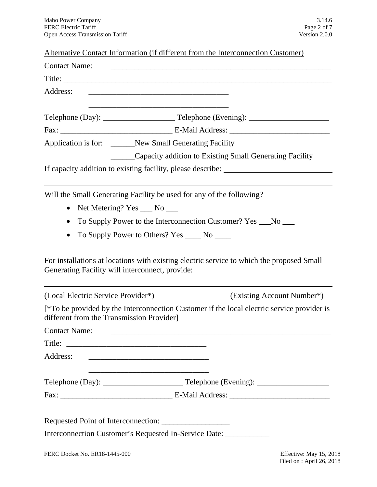|  |  | Alternative Contact Information (if different from the Interconnection Customer) |  |
|--|--|----------------------------------------------------------------------------------|--|
|--|--|----------------------------------------------------------------------------------|--|

| <b>Contact Name:</b>                                                 |                                                                                                                       | <u> 1980 - Jan James James James James James James James James James James James James James James James James</u> |
|----------------------------------------------------------------------|-----------------------------------------------------------------------------------------------------------------------|--------------------------------------------------------------------------------------------------------------------|
|                                                                      |                                                                                                                       |                                                                                                                    |
| Address:                                                             | <u> 1980 - Johann Barn, mars ann an t-Amhain an t-Amhain an t-Amhain an t-Amhain an t-Amhain an t-Amhain an t-Amh</u> |                                                                                                                    |
|                                                                      | <u> 1980 - Johann John Stone, markin fizikar (h. 1980)</u>                                                            |                                                                                                                    |
|                                                                      |                                                                                                                       |                                                                                                                    |
|                                                                      |                                                                                                                       |                                                                                                                    |
| Application is for: ______New Small Generating Facility              |                                                                                                                       |                                                                                                                    |
|                                                                      |                                                                                                                       | ______Capacity addition to Existing Small Generating Facility                                                      |
|                                                                      |                                                                                                                       | If capacity addition to existing facility, please describe: _____________________                                  |
| Will the Small Generating Facility be used for any of the following? |                                                                                                                       |                                                                                                                    |
| $\bullet$                                                            | Net Metering? Yes ___ No ___                                                                                          |                                                                                                                    |
| $\bullet$                                                            |                                                                                                                       | To Supply Power to the Interconnection Customer? Yes ___No ___                                                     |
|                                                                      | To Supply Power to Others? Yes _____ No _____                                                                         |                                                                                                                    |
|                                                                      |                                                                                                                       |                                                                                                                    |
| Generating Facility will interconnect, provide:                      |                                                                                                                       | For installations at locations with existing electric service to which the proposed Small                          |
| (Local Electric Service Provider*)                                   |                                                                                                                       | (Existing Account Number*)                                                                                         |
| different from the Transmission Provider]                            |                                                                                                                       | [*To be provided by the Interconnection Customer if the local electric service provider is                         |
| <b>Contact Name:</b>                                                 |                                                                                                                       |                                                                                                                    |
| Title:                                                               |                                                                                                                       |                                                                                                                    |
| Address:                                                             |                                                                                                                       |                                                                                                                    |
|                                                                      |                                                                                                                       |                                                                                                                    |
|                                                                      |                                                                                                                       |                                                                                                                    |
|                                                                      |                                                                                                                       |                                                                                                                    |
|                                                                      |                                                                                                                       |                                                                                                                    |
|                                                                      |                                                                                                                       |                                                                                                                    |
|                                                                      |                                                                                                                       | Interconnection Customer's Requested In-Service Date: ____________                                                 |
|                                                                      |                                                                                                                       |                                                                                                                    |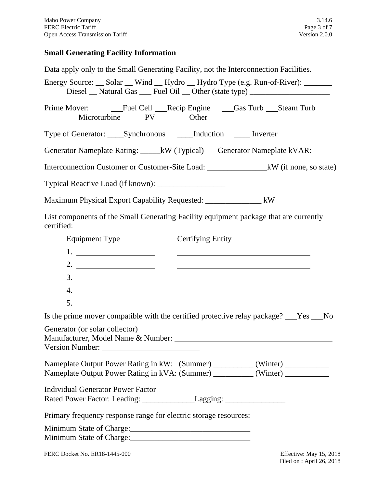### **Small Generating Facility Information**

Data apply only to the Small Generating Facility, not the Interconnection Facilities.

Energy Source: \_\_ Solar \_\_ Wind \_\_ Hydro \_\_ Hydro Type (e.g. Run-of-River): \_\_\_\_\_ Diesel Natural Gas \_\_\_ Fuel Oil \_\_ Other (state type) \_\_\_\_\_\_\_\_\_\_\_\_\_\_\_\_\_\_\_\_\_\_\_\_\_\_

Prime Mover: Fuel Cell Recip Engine Gas Turb Steam Turb<br>Microturbine PV Other Microturbine PV

Type of Generator: \_\_\_\_Synchronous \_\_\_\_Induction \_\_\_\_ Inverter

Generator Nameplate Rating: \_\_\_\_\_kW (Typical) Generator Nameplate kVAR: \_\_\_\_\_\_\_

Interconnection Customer or Customer-Site Load: \_\_\_\_\_\_\_\_\_\_\_\_\_\_\_kW (if none, so state)

Typical Reactive Load (if known): \_\_\_\_\_\_\_\_\_\_\_\_\_\_\_\_\_

Maximum Physical Export Capability Requested: \_\_\_\_\_\_\_\_\_\_\_\_\_\_ kW

List components of the Small Generating Facility equipment package that are currently certified:

| <b>Equipment Type</b>                                                            | <b>Certifying Entity</b>                                                                                                                                            |
|----------------------------------------------------------------------------------|---------------------------------------------------------------------------------------------------------------------------------------------------------------------|
|                                                                                  |                                                                                                                                                                     |
|                                                                                  | <u> 1980 - Andrea Andrew Maria (h. 1980).</u>                                                                                                                       |
|                                                                                  | <u> 1980 - Johann Barnett, fransk politik (f. 1980)</u>                                                                                                             |
| 4. $\qquad \qquad$                                                               |                                                                                                                                                                     |
| 5. $\qquad \qquad$                                                               | <u> 1980 - John Stein, Amerikaansk politiker (* 1980)</u>                                                                                                           |
|                                                                                  | Is the prime mover compatible with the certified protective relay package? The No                                                                                   |
| Generator (or solar collector)                                                   |                                                                                                                                                                     |
|                                                                                  | Nameplate Output Power Rating in kW: (Summer) __________(Winter) _______________<br>Nameplate Output Power Rating in kVA: (Summer) __________ (Winter) ____________ |
| <b>Individual Generator Power Factor</b>                                         |                                                                                                                                                                     |
| Rated Power Factor: Leading: _________________Lagging: _________________________ |                                                                                                                                                                     |
| Primary frequency response range for electric storage resources:                 |                                                                                                                                                                     |
|                                                                                  |                                                                                                                                                                     |
|                                                                                  |                                                                                                                                                                     |
|                                                                                  |                                                                                                                                                                     |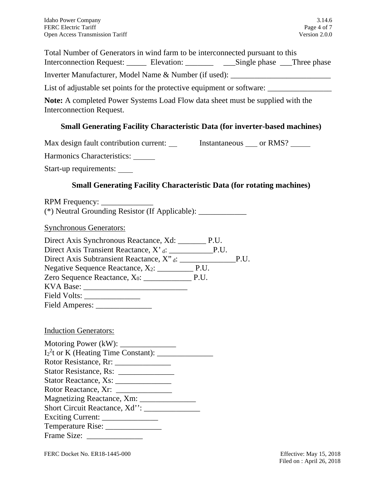Total Number of Generators in wind farm to be interconnected pursuant to this Interconnection Request: \_\_\_\_\_\_ Elevation: \_\_\_\_\_\_\_\_ \_\_\_\_Single phase \_\_\_Three phase

Inverter Manufacturer, Model Name & Number (if used):

List of adjustable set points for the protective equipment or software:

**Note:** A completed Power Systems Load Flow data sheet must be supplied with the Interconnection Request.

# **Small Generating Facility Characteristic Data (for inverter-based machines)**

Max design fault contribution current: Instantaneous \_\_\_ or RMS? \_\_\_\_\_

Harmonics Characteristics:

Start-up requirements:

# **Small Generating Facility Characteristic Data (for rotating machines)**

RPM Frequency: (\*) Neutral Grounding Resistor (If Applicable): \_\_\_\_\_\_\_\_\_\_\_\_

Synchronous Generators:

| Direct Axis Synchronous Reactance, Xd: ___________ P.U. |      |
|---------------------------------------------------------|------|
| Direct Axis Transient Reactance, X' <sub>d</sub> : P.U. |      |
|                                                         | P.U. |
|                                                         |      |
|                                                         |      |
|                                                         |      |
| Field Volts: ________________                           |      |
|                                                         |      |
|                                                         |      |

### Induction Generators:

Motoring Power (kW): \_\_\_\_\_\_\_\_\_\_\_\_\_\_ I2 2 t or K (Heating Time Constant): \_\_\_\_\_\_\_\_\_\_\_\_\_\_ Rotor Resistance, Rr: \_\_\_\_\_\_\_\_\_\_\_\_\_\_ Stator Resistance, Rs: \_\_\_\_\_\_\_\_\_\_\_\_\_\_ Stator Reactance, Xs: \_\_\_\_\_\_\_\_\_\_\_\_\_\_ Rotor Reactance, Xr: \_\_\_\_\_\_\_\_\_\_\_\_\_\_ Magnetizing Reactance, Xm: \_\_\_\_\_\_\_\_\_\_\_\_\_\_ Short Circuit Reactance, Xd'': \_\_\_\_\_\_\_\_\_\_\_\_\_\_ Exciting Current: \_\_\_\_\_\_\_\_\_\_\_\_\_\_ Temperature Rise: \_\_\_\_\_\_\_\_\_\_\_\_\_\_ Frame Size: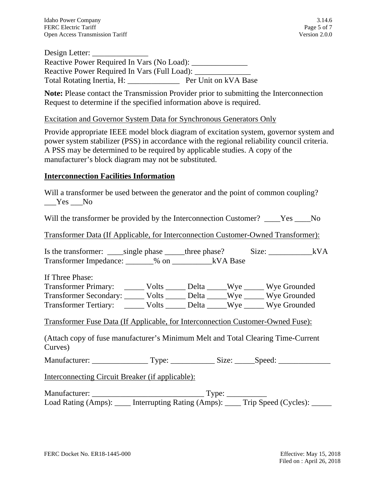Design Letter: Reactive Power Required In Vars (No Load): \_\_\_\_\_\_\_\_\_\_\_\_\_\_ Reactive Power Required In Vars (Full Load): Total Rotating Inertia, H: <br> Per Unit on kVA Base

**Note:** Please contact the Transmission Provider prior to submitting the Interconnection Request to determine if the specified information above is required.

### Excitation and Governor System Data for Synchronous Generators Only

Provide appropriate IEEE model block diagram of excitation system, governor system and power system stabilizer (PSS) in accordance with the regional reliability council criteria. A PSS may be determined to be required by applicable studies. A copy of the manufacturer's block diagram may not be substituted.

### **Interconnection Facilities Information**

Will a transformer be used between the generator and the point of common coupling? \_\_\_Yes \_\_\_No

Will the transformer be provided by the Interconnection Customer? Tes No

Transformer Data (If Applicable, for Interconnection Customer-Owned Transformer):

Is the transformer: \_\_\_\_\_single phase \_\_\_\_\_three phase? Size: \_\_\_\_\_\_\_\_\_\_\_\_\_\_\_\_\_kVA Transformer Impedance: \_\_\_\_\_\_\_% on \_\_\_\_\_\_\_\_\_\_kVA Base

If Three Phase:

Transformer Primary: \_\_\_\_\_\_ Volts \_\_\_\_\_\_ Delta \_\_\_\_\_Wye \_\_\_\_\_\_ Wye Grounded Transformer Secondary: \_\_\_\_\_\_ Volts \_\_\_\_\_\_ Delta \_\_\_\_\_Wye \_\_\_\_\_\_ Wye Grounded Transformer Tertiary: \_\_\_\_\_\_ Volts \_\_\_\_\_\_ Delta \_\_\_\_\_Wye \_\_\_\_\_\_ Wye Grounded

Transformer Fuse Data (If Applicable, for Interconnection Customer-Owned Fuse):

(Attach copy of fuse manufacturer's Minimum Melt and Total Clearing Time-Current Curves)

Manufacturer: \_\_\_\_\_\_\_\_\_\_\_\_\_\_ Type: \_\_\_\_\_\_\_\_\_\_\_ Size: \_\_\_\_\_Speed: \_\_\_\_\_\_\_\_\_\_\_\_\_

Interconnecting Circuit Breaker (if applicable):

Manufacturer: \_\_\_\_\_\_\_\_\_\_\_\_\_\_\_\_\_\_\_\_\_\_\_\_\_\_\_\_ Type: \_\_\_\_\_\_\_\_\_\_ Load Rating (Amps): \_\_\_\_\_ Interrupting Rating (Amps): \_\_\_\_\_ Trip Speed (Cycles): \_\_\_\_\_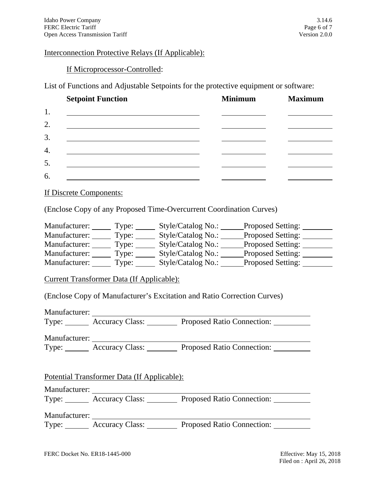#### Interconnection Protective Relays (If Applicable):

#### If Microprocessor-Controlled:

List of Functions and Adjustable Setpoints for the protective equipment or software:

|    | <b>Setpoint Function</b>                                                                                              | <b>Minimum</b> | <b>Maximum</b> |
|----|-----------------------------------------------------------------------------------------------------------------------|----------------|----------------|
| 1. |                                                                                                                       |                |                |
| 2. | <u> 1989 - Johann Stein, mars an deus an deus an deus an deus an deus an deus an deus an deus an deus an deus an</u>  |                |                |
| 3. | <u> 1989 - John Stein, marking and de Britain and de Britain and de Britain and de Britain and de Britain and de</u>  |                |                |
| 4. |                                                                                                                       |                |                |
| 5. | <u> 1989 - Johann Harry Harry Harry Harry Harry Harry Harry Harry Harry Harry Harry Harry Harry Harry Harry Harry</u> |                |                |
| 6. |                                                                                                                       |                |                |
|    |                                                                                                                       |                |                |

If Discrete Components:

(Enclose Copy of any Proposed Time-Overcurrent Coordination Curves)

| Manufacturer: | Type: | Style/Catalog No.: | <b>Proposed Setting:</b> |
|---------------|-------|--------------------|--------------------------|
| Manufacturer: | Type: | Style/Catalog No.: | <b>Proposed Setting:</b> |
| Manufacturer: | Type: | Style/Catalog No.: | <b>Proposed Setting:</b> |
| Manufacturer: | Type: | Style/Catalog No.: | <b>Proposed Setting:</b> |
| Manufacturer: | Type: | Style/Catalog No.: | <b>Proposed Setting:</b> |

Current Transformer Data (If Applicable):

(Enclose Copy of Manufacturer's Excitation and Ratio Correction Curves)

Manufacturer: Type: **Accuracy Class:** Proposed Ratio Connection:

Manufacturer:

Type: **Accuracy Class:** Proposed Ratio Connection:

Potential Transformer Data (If Applicable):

Manufacturer:

Type: **Accuracy Class:** Proposed Ratio Connection:

Manufacturer:

Type: <u>Accuracy Class: Proposed Ratio Connection:</u>